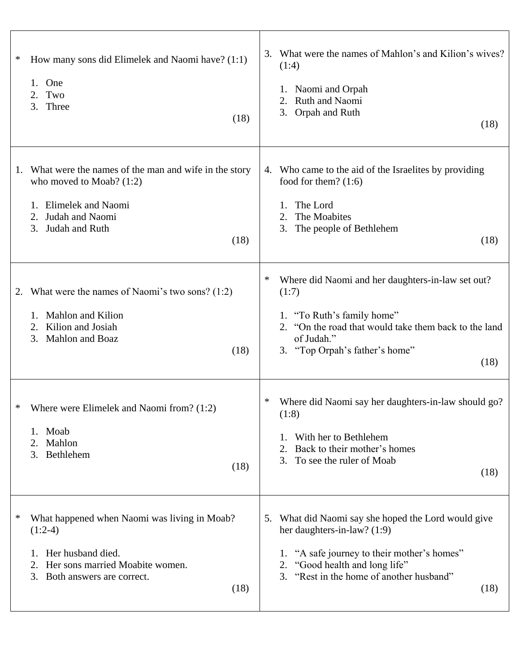| How many sons did Elimelek and Naomi have? (1:1)<br>∗<br>One<br>1.<br>Two<br>2.<br>3.<br>Three<br>(18)                                                                     | What were the names of Mahlon's and Kilion's wives?<br>3.<br>(1:4)<br>1. Naomi and Orpah<br>Ruth and Naomi<br>3. Orpah and Ruth<br>(18)                                                                                    |
|----------------------------------------------------------------------------------------------------------------------------------------------------------------------------|----------------------------------------------------------------------------------------------------------------------------------------------------------------------------------------------------------------------------|
| What were the names of the man and wife in the story<br>1.<br>who moved to Moab? $(1:2)$<br>1. Elimelek and Naomi<br>Judah and Naomi<br>2.<br>Judah and Ruth<br>3.<br>(18) | Who came to the aid of the Israelites by providing<br>4.<br>food for them? $(1:6)$<br>The Lord<br>The Moabites<br>2.<br>The people of Bethlehem<br>3.<br>(18)                                                              |
| What were the names of Naomi's two sons? $(1:2)$<br>2.<br>Mahlon and Kilion<br>1.<br>Kilion and Josiah<br>2.<br>Mahlon and Boaz<br>3.<br>(18)                              | ∗<br>Where did Naomi and her daughters-in-law set out?<br>(1:7)<br>1. "To Ruth's family home"<br>2. "On the road that would take them back to the land<br>of Judah."<br>3. "Top Orpah's father's home"<br>(18)             |
| Where were Elimelek and Naomi from? (1:2)<br>$\ast$<br>1. Moab<br>Mahlon<br>3. Bethlehem<br>(18)                                                                           | Where did Naomi say her daughters-in-law should go?<br>∗<br>(1:8)<br>With her to Bethlehem<br>Back to their mother's homes<br>3.<br>To see the ruler of Moab<br>(18)                                                       |
| What happened when Naomi was living in Moab?<br>∗<br>$(1:2-4)$<br>Her husband died.<br>1.<br>Her sons married Moabite women.<br>Both answers are correct.<br>3.<br>(18)    | What did Naomi say she hoped the Lord would give<br>5.<br>her daughters-in-law? (1:9)<br>1. "A safe journey to their mother's homes"<br>2. "Good health and long life"<br>3. "Rest in the home of another husband"<br>(18) |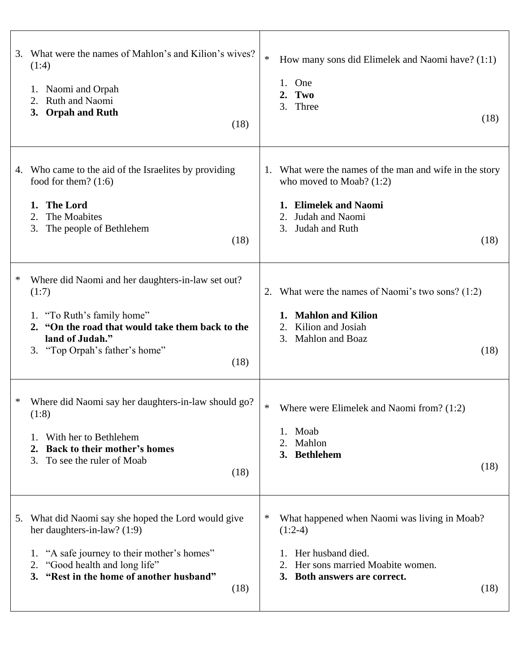| 3. | What were the names of Mahlon's and Kilion's wives?<br>(1:4)<br>1. Naomi and Orpah<br>Ruth and Naomi<br>2.<br><b>Orpah and Ruth</b><br>3.<br>(18)                                                                            | $\ast$<br>1.<br>3. | How many sons did Elimelek and Naomi have? (1:1)<br>One<br>Two<br>Three<br>(18)                                                                             |
|----|------------------------------------------------------------------------------------------------------------------------------------------------------------------------------------------------------------------------------|--------------------|-------------------------------------------------------------------------------------------------------------------------------------------------------------|
| 4. | Who came to the aid of the Israelites by providing<br>food for them? $(1:6)$<br><b>The Lord</b><br>1.<br>2.<br>The Moabites<br>3.<br>The people of Bethlehem<br>(18)                                                         | 3.                 | 1. What were the names of the man and wife in the story<br>who moved to Moab? $(1:2)$<br>1. Elimelek and Naomi<br>Judah and Naomi<br>Judah and Ruth<br>(18) |
| ∗  | Where did Naomi and her daughters-in-law set out?<br>(1:7)<br>1. "To Ruth's family home"<br>2. "On the road that would take them back to the<br>land of Judah."<br>3. "Top Orpah's father's home"<br>(18)                    | 2.<br>2.           | What were the names of Naomi's two sons? $(1:2)$<br><b>Mahlon and Kilion</b><br>Kilion and Josiah<br>3. Mahlon and Boaz<br>(18)                             |
| ∗  | Where did Naomi say her daughters-in-law should go?<br>(1:8)<br>With her to Bethlehem<br><b>Back to their mother's homes</b><br>2.<br>To see the ruler of Moab<br>3.<br>(18)                                                 | ∗<br>2.<br>3.      | Where were Elimelek and Naomi from? (1:2)<br>1. Moab<br>Mahlon<br><b>Bethlehem</b><br>(18)                                                                  |
| 5. | What did Naomi say she hoped the Lord would give<br>her daughters-in-law? $(1:9)$<br>"A safe journey to their mother's homes"<br>1.<br>"Good health and long life"<br>2.<br>3. "Rest in the home of another husband"<br>(18) | ∗<br>3.            | What happened when Naomi was living in Moab?<br>$(1:2-4)$<br>Her husband died.<br>Her sons married Moabite women.<br>Both answers are correct.<br>(18)      |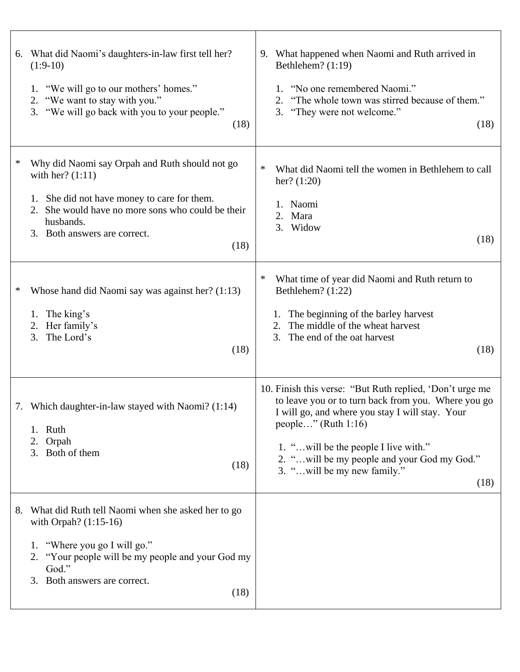| 6. What did Naomi's daughters-in-law first tell her?<br>$(1:9-10)$<br>1. "We will go to our mothers' homes."<br>2. "We want to stay with you."<br>3. "We will go back with you to your people."<br>(18)                            | What happened when Naomi and Ruth arrived in<br>9.<br>Bethlehem? $(1:19)$<br>"No one remembered Naomi."<br>1.<br>"The whole town was stirred because of them."<br>2.<br>3. "They were not welcome."<br>(18)                                                                                                                 |
|------------------------------------------------------------------------------------------------------------------------------------------------------------------------------------------------------------------------------------|-----------------------------------------------------------------------------------------------------------------------------------------------------------------------------------------------------------------------------------------------------------------------------------------------------------------------------|
| ∗<br>Why did Naomi say Orpah and Ruth should not go<br>with her? $(1:11)$<br>1. She did not have money to care for them.<br>2. She would have no more sons who could be their<br>husbands.<br>3. Both answers are correct.<br>(18) | ∗<br>What did Naomi tell the women in Bethlehem to call<br>her? $(1:20)$<br>1. Naomi<br>Mara<br>2.<br>3. Widow<br>(18)                                                                                                                                                                                                      |
| Whose hand did Naomi say was against her? (1:13)<br>∗<br>1. The king's<br>2. Her family's<br>The Lord's<br>3.<br>(18)                                                                                                              | $\ast$<br>What time of year did Naomi and Ruth return to<br>Bethlehem? (1:22)<br>The beginning of the barley harvest<br>1.<br>The middle of the wheat harvest<br>2.<br>The end of the oat harvest<br>3.<br>(18)                                                                                                             |
| 7. Which daughter-in-law stayed with Naomi? (1:14)<br>1. Ruth<br>Orpah<br>2.<br>3. Both of them<br>(18)                                                                                                                            | 10. Finish this verse: "But Ruth replied, 'Don't urge me<br>to leave you or to turn back from you. Where you go<br>I will go, and where you stay I will stay. Your<br>people" (Ruth $1:16$ )<br>1. "will be the people I live with."<br>2. " will be my people and your God my God."<br>3. "will be my new family."<br>(18) |
| What did Ruth tell Naomi when she asked her to go<br>8.<br>with Orpah? (1:15-16)<br>"Where you go I will go."<br>1.<br>"Your people will be my people and your God my<br>2.<br>God."<br>Both answers are correct.<br>3.<br>(18)    |                                                                                                                                                                                                                                                                                                                             |